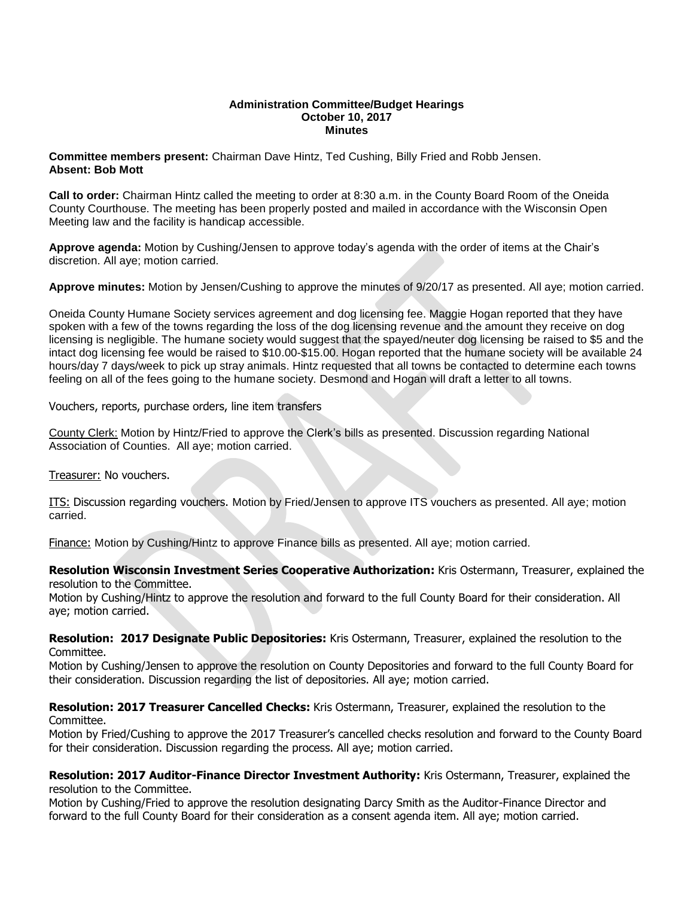## **Administration Committee/Budget Hearings October 10, 2017 Minutes**

**Committee members present:** Chairman Dave Hintz, Ted Cushing, Billy Fried and Robb Jensen. **Absent: Bob Mott**

**Call to order:** Chairman Hintz called the meeting to order at 8:30 a.m. in the County Board Room of the Oneida County Courthouse. The meeting has been properly posted and mailed in accordance with the Wisconsin Open Meeting law and the facility is handicap accessible.

**Approve agenda:** Motion by Cushing/Jensen to approve today's agenda with the order of items at the Chair's discretion. All aye; motion carried.

**Approve minutes:** Motion by Jensen/Cushing to approve the minutes of 9/20/17 as presented. All aye; motion carried.

Oneida County Humane Society services agreement and dog licensing fee. Maggie Hogan reported that they have spoken with a few of the towns regarding the loss of the dog licensing revenue and the amount they receive on dog licensing is negligible. The humane society would suggest that the spayed/neuter dog licensing be raised to \$5 and the intact dog licensing fee would be raised to \$10.00-\$15.00. Hogan reported that the humane society will be available 24 hours/day 7 days/week to pick up stray animals. Hintz requested that all towns be contacted to determine each towns feeling on all of the fees going to the humane society. Desmond and Hogan will draft a letter to all towns.

Vouchers, reports, purchase orders, line item transfers

County Clerk: Motion by Hintz/Fried to approve the Clerk's bills as presented. Discussion regarding National Association of Counties. All aye; motion carried.

Treasurer: No vouchers.

ITS: Discussion regarding vouchers. Motion by Fried/Jensen to approve ITS vouchers as presented. All aye; motion carried.

Finance: Motion by Cushing/Hintz to approve Finance bills as presented. All aye; motion carried.

**Resolution Wisconsin Investment Series Cooperative Authorization:** Kris Ostermann, Treasurer, explained the resolution to the Committee.

Motion by Cushing/Hintz to approve the resolution and forward to the full County Board for their consideration. All aye; motion carried.

**Resolution: 2017 Designate Public Depositories:** Kris Ostermann, Treasurer, explained the resolution to the Committee.

Motion by Cushing/Jensen to approve the resolution on County Depositories and forward to the full County Board for their consideration. Discussion regarding the list of depositories. All aye; motion carried.

**Resolution: 2017 Treasurer Cancelled Checks:** Kris Ostermann, Treasurer, explained the resolution to the Committee.

Motion by Fried/Cushing to approve the 2017 Treasurer's cancelled checks resolution and forward to the County Board for their consideration. Discussion regarding the process. All aye; motion carried.

**Resolution: 2017 Auditor-Finance Director Investment Authority:** Kris Ostermann, Treasurer, explained the resolution to the Committee.

Motion by Cushing/Fried to approve the resolution designating Darcy Smith as the Auditor-Finance Director and forward to the full County Board for their consideration as a consent agenda item. All aye; motion carried.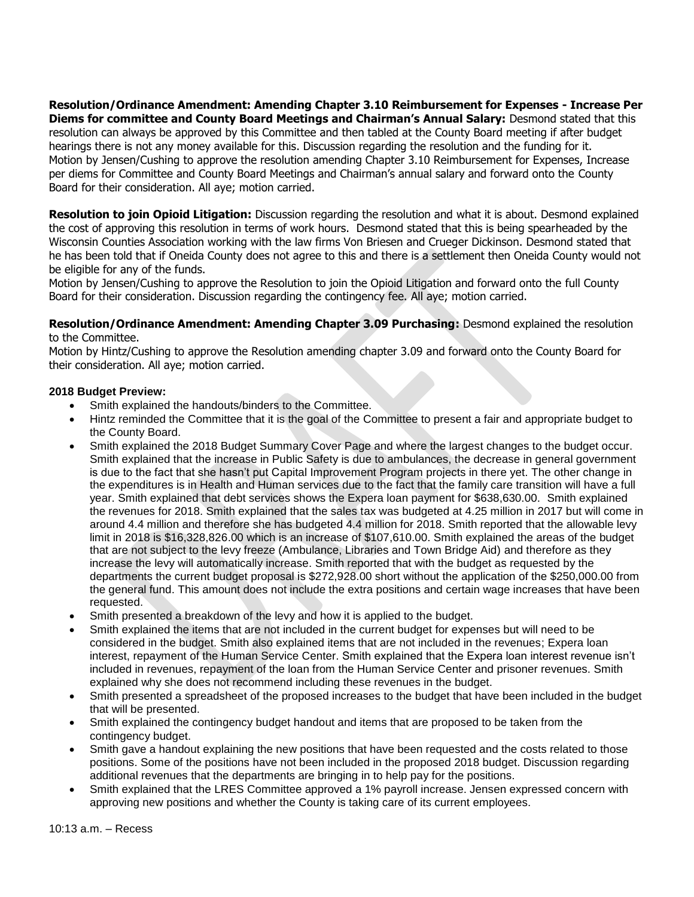**Resolution/Ordinance Amendment: Amending Chapter 3.10 Reimbursement for Expenses - Increase Per Diems for committee and County Board Meetings and Chairman's Annual Salary:** Desmond stated that this resolution can always be approved by this Committee and then tabled at the County Board meeting if after budget hearings there is not any money available for this. Discussion regarding the resolution and the funding for it. Motion by Jensen/Cushing to approve the resolution amending Chapter 3.10 Reimbursement for Expenses, Increase per diems for Committee and County Board Meetings and Chairman's annual salary and forward onto the County Board for their consideration. All aye; motion carried.

**Resolution to join Opioid Litigation:** Discussion regarding the resolution and what it is about. Desmond explained the cost of approving this resolution in terms of work hours. Desmond stated that this is being spearheaded by the Wisconsin Counties Association working with the law firms Von Briesen and Crueger Dickinson. Desmond stated that he has been told that if Oneida County does not agree to this and there is a settlement then Oneida County would not be eligible for any of the funds.

Motion by Jensen/Cushing to approve the Resolution to join the Opioid Litigation and forward onto the full County Board for their consideration. Discussion regarding the contingency fee. All aye; motion carried.

**Resolution/Ordinance Amendment: Amending Chapter 3.09 Purchasing:** Desmond explained the resolution to the Committee.

Motion by Hintz/Cushing to approve the Resolution amending chapter 3.09 and forward onto the County Board for their consideration. All aye; motion carried.

## **2018 Budget Preview:**

- Smith explained the handouts/binders to the Committee.
- Hintz reminded the Committee that it is the goal of the Committee to present a fair and appropriate budget to the County Board.
- Smith explained the 2018 Budget Summary Cover Page and where the largest changes to the budget occur. Smith explained that the increase in Public Safety is due to ambulances, the decrease in general government is due to the fact that she hasn't put Capital Improvement Program projects in there yet. The other change in the expenditures is in Health and Human services due to the fact that the family care transition will have a full year. Smith explained that debt services shows the Expera loan payment for \$638,630.00. Smith explained the revenues for 2018. Smith explained that the sales tax was budgeted at 4.25 million in 2017 but will come in around 4.4 million and therefore she has budgeted 4.4 million for 2018. Smith reported that the allowable levy limit in 2018 is \$16,328,826.00 which is an increase of \$107,610.00. Smith explained the areas of the budget that are not subject to the levy freeze (Ambulance, Libraries and Town Bridge Aid) and therefore as they increase the levy will automatically increase. Smith reported that with the budget as requested by the departments the current budget proposal is \$272,928.00 short without the application of the \$250,000.00 from the general fund. This amount does not include the extra positions and certain wage increases that have been requested.
- Smith presented a breakdown of the levy and how it is applied to the budget.
- Smith explained the items that are not included in the current budget for expenses but will need to be considered in the budget. Smith also explained items that are not included in the revenues; Expera loan interest, repayment of the Human Service Center. Smith explained that the Expera loan interest revenue isn't included in revenues, repayment of the loan from the Human Service Center and prisoner revenues. Smith explained why she does not recommend including these revenues in the budget.
- Smith presented a spreadsheet of the proposed increases to the budget that have been included in the budget that will be presented.
- Smith explained the contingency budget handout and items that are proposed to be taken from the contingency budget.
- Smith gave a handout explaining the new positions that have been requested and the costs related to those positions. Some of the positions have not been included in the proposed 2018 budget. Discussion regarding additional revenues that the departments are bringing in to help pay for the positions.
- Smith explained that the LRES Committee approved a 1% payroll increase. Jensen expressed concern with approving new positions and whether the County is taking care of its current employees.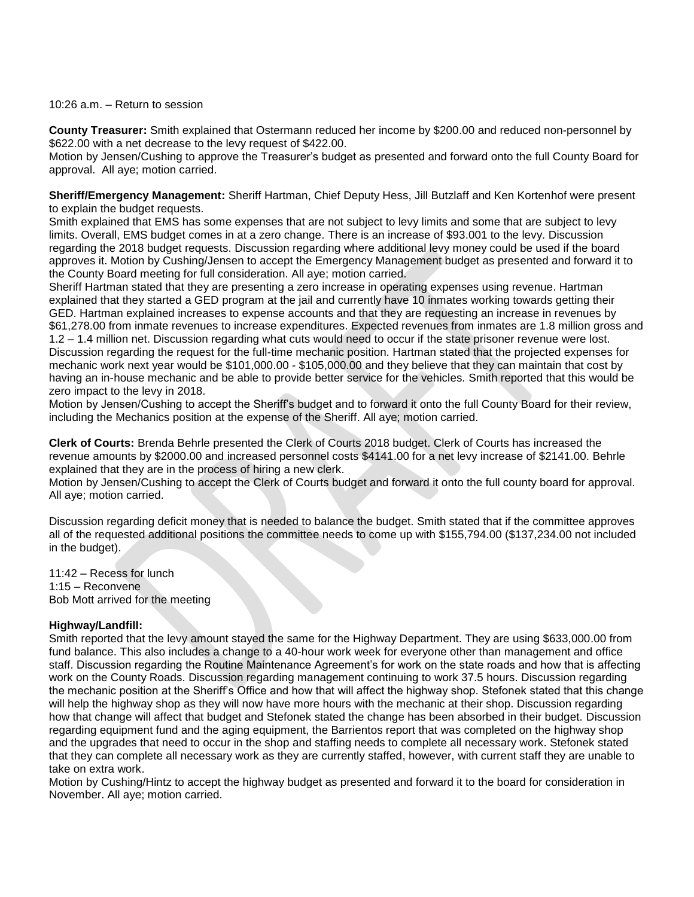## 10:26 a.m. – Return to session

**County Treasurer:** Smith explained that Ostermann reduced her income by \$200.00 and reduced non-personnel by \$622.00 with a net decrease to the levy request of \$422.00.

Motion by Jensen/Cushing to approve the Treasurer's budget as presented and forward onto the full County Board for approval. All aye; motion carried.

**Sheriff/Emergency Management:** Sheriff Hartman, Chief Deputy Hess, Jill Butzlaff and Ken Kortenhof were present to explain the budget requests.

Smith explained that EMS has some expenses that are not subject to levy limits and some that are subject to levy limits. Overall, EMS budget comes in at a zero change. There is an increase of \$93.001 to the levy. Discussion regarding the 2018 budget requests. Discussion regarding where additional levy money could be used if the board approves it. Motion by Cushing/Jensen to accept the Emergency Management budget as presented and forward it to the County Board meeting for full consideration. All aye; motion carried.

Sheriff Hartman stated that they are presenting a zero increase in operating expenses using revenue. Hartman explained that they started a GED program at the jail and currently have 10 inmates working towards getting their GED. Hartman explained increases to expense accounts and that they are requesting an increase in revenues by \$61,278.00 from inmate revenues to increase expenditures. Expected revenues from inmates are 1.8 million gross and 1.2 – 1.4 million net. Discussion regarding what cuts would need to occur if the state prisoner revenue were lost. Discussion regarding the request for the full-time mechanic position. Hartman stated that the projected expenses for mechanic work next year would be \$101,000.00 - \$105,000.00 and they believe that they can maintain that cost by having an in-house mechanic and be able to provide better service for the vehicles. Smith reported that this would be zero impact to the levy in 2018.

Motion by Jensen/Cushing to accept the Sheriff's budget and to forward it onto the full County Board for their review, including the Mechanics position at the expense of the Sheriff. All aye; motion carried.

**Clerk of Courts:** Brenda Behrle presented the Clerk of Courts 2018 budget. Clerk of Courts has increased the revenue amounts by \$2000.00 and increased personnel costs \$4141.00 for a net levy increase of \$2141.00. Behrle explained that they are in the process of hiring a new clerk.

Motion by Jensen/Cushing to accept the Clerk of Courts budget and forward it onto the full county board for approval. All aye; motion carried.

Discussion regarding deficit money that is needed to balance the budget. Smith stated that if the committee approves all of the requested additional positions the committee needs to come up with \$155,794.00 (\$137,234.00 not included in the budget).

11:42 – Recess for lunch 1:15 – Reconvene Bob Mott arrived for the meeting

## **Highway/Landfill:**

Smith reported that the levy amount stayed the same for the Highway Department. They are using \$633,000.00 from fund balance. This also includes a change to a 40-hour work week for everyone other than management and office staff. Discussion regarding the Routine Maintenance Agreement's for work on the state roads and how that is affecting work on the County Roads. Discussion regarding management continuing to work 37.5 hours. Discussion regarding the mechanic position at the Sheriff's Office and how that will affect the highway shop. Stefonek stated that this change will help the highway shop as they will now have more hours with the mechanic at their shop. Discussion regarding how that change will affect that budget and Stefonek stated the change has been absorbed in their budget. Discussion regarding equipment fund and the aging equipment, the Barrientos report that was completed on the highway shop and the upgrades that need to occur in the shop and staffing needs to complete all necessary work. Stefonek stated that they can complete all necessary work as they are currently staffed, however, with current staff they are unable to take on extra work.

Motion by Cushing/Hintz to accept the highway budget as presented and forward it to the board for consideration in November. All aye; motion carried.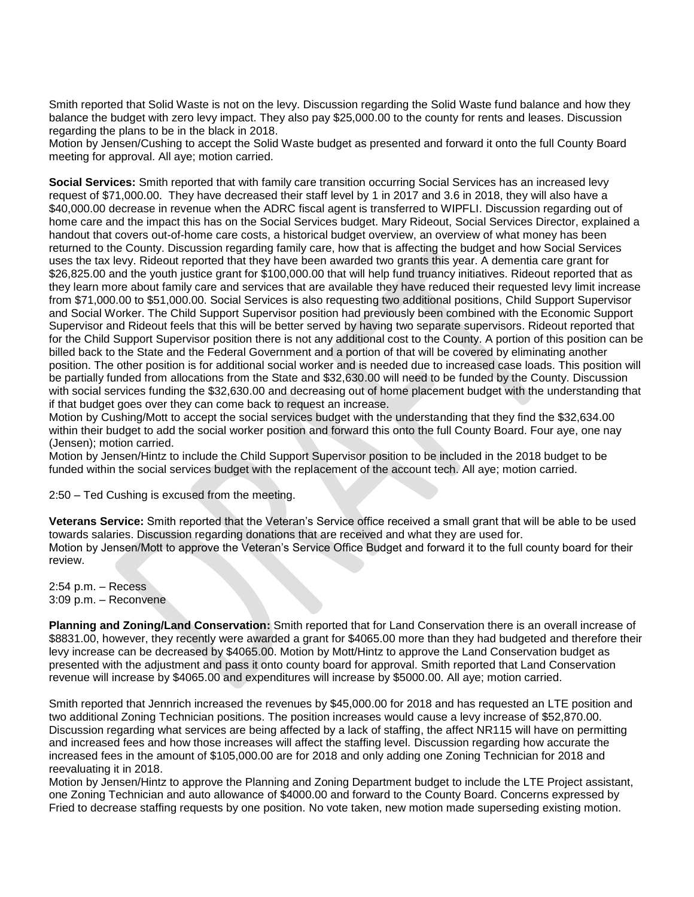Smith reported that Solid Waste is not on the levy. Discussion regarding the Solid Waste fund balance and how they balance the budget with zero levy impact. They also pay \$25,000.00 to the county for rents and leases. Discussion regarding the plans to be in the black in 2018.

Motion by Jensen/Cushing to accept the Solid Waste budget as presented and forward it onto the full County Board meeting for approval. All aye; motion carried.

**Social Services:** Smith reported that with family care transition occurring Social Services has an increased levy request of \$71,000.00. They have decreased their staff level by 1 in 2017 and 3.6 in 2018, they will also have a \$40,000.00 decrease in revenue when the ADRC fiscal agent is transferred to WIPFLI. Discussion regarding out of home care and the impact this has on the Social Services budget. Mary Rideout, Social Services Director, explained a handout that covers out-of-home care costs, a historical budget overview, an overview of what money has been returned to the County. Discussion regarding family care, how that is affecting the budget and how Social Services uses the tax levy. Rideout reported that they have been awarded two grants this year. A dementia care grant for \$26,825.00 and the youth justice grant for \$100,000.00 that will help fund truancy initiatives. Rideout reported that as they learn more about family care and services that are available they have reduced their requested levy limit increase from \$71,000.00 to \$51,000.00. Social Services is also requesting two additional positions, Child Support Supervisor and Social Worker. The Child Support Supervisor position had previously been combined with the Economic Support Supervisor and Rideout feels that this will be better served by having two separate supervisors. Rideout reported that for the Child Support Supervisor position there is not any additional cost to the County. A portion of this position can be billed back to the State and the Federal Government and a portion of that will be covered by eliminating another position. The other position is for additional social worker and is needed due to increased case loads. This position will be partially funded from allocations from the State and \$32,630.00 will need to be funded by the County. Discussion with social services funding the \$32,630.00 and decreasing out of home placement budget with the understanding that if that budget goes over they can come back to request an increase.

Motion by Cushing/Mott to accept the social services budget with the understanding that they find the \$32,634.00 within their budget to add the social worker position and forward this onto the full County Board. Four aye, one nay (Jensen); motion carried.

Motion by Jensen/Hintz to include the Child Support Supervisor position to be included in the 2018 budget to be funded within the social services budget with the replacement of the account tech. All aye; motion carried.

2:50 – Ted Cushing is excused from the meeting.

**Veterans Service:** Smith reported that the Veteran's Service office received a small grant that will be able to be used towards salaries. Discussion regarding donations that are received and what they are used for. Motion by Jensen/Mott to approve the Veteran's Service Office Budget and forward it to the full county board for their review.

2:54 p.m. – Recess 3:09 p.m. – Reconvene

**Planning and Zoning/Land Conservation:** Smith reported that for Land Conservation there is an overall increase of \$8831.00, however, they recently were awarded a grant for \$4065.00 more than they had budgeted and therefore their levy increase can be decreased by \$4065.00. Motion by Mott/Hintz to approve the Land Conservation budget as presented with the adjustment and pass it onto county board for approval. Smith reported that Land Conservation revenue will increase by \$4065.00 and expenditures will increase by \$5000.00. All aye; motion carried.

Smith reported that Jennrich increased the revenues by \$45,000.00 for 2018 and has requested an LTE position and two additional Zoning Technician positions. The position increases would cause a levy increase of \$52,870.00. Discussion regarding what services are being affected by a lack of staffing, the affect NR115 will have on permitting and increased fees and how those increases will affect the staffing level. Discussion regarding how accurate the increased fees in the amount of \$105,000.00 are for 2018 and only adding one Zoning Technician for 2018 and reevaluating it in 2018.

Motion by Jensen/Hintz to approve the Planning and Zoning Department budget to include the LTE Project assistant, one Zoning Technician and auto allowance of \$4000.00 and forward to the County Board. Concerns expressed by Fried to decrease staffing requests by one position. No vote taken, new motion made superseding existing motion.